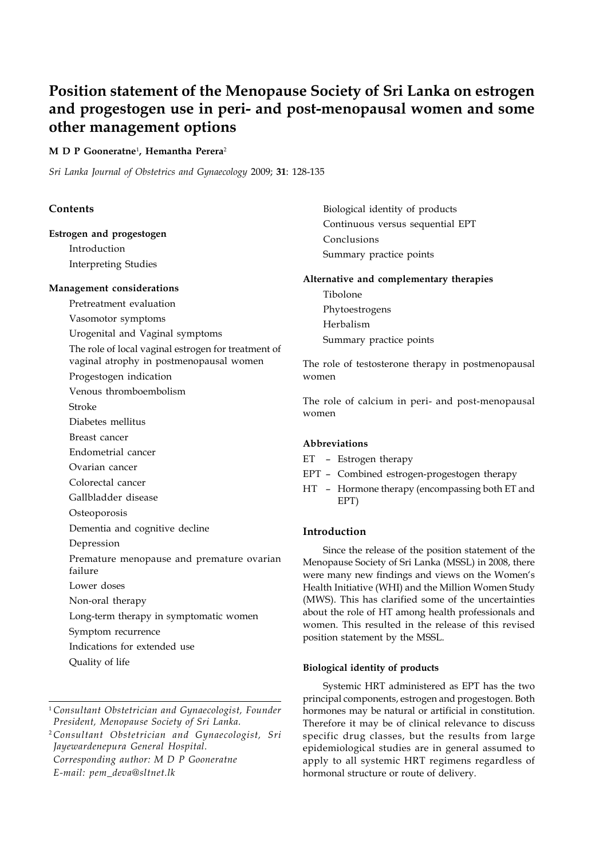# **Position statement of the Menopause Society of Sri Lanka on estrogen and progestogen use in peri- and post-menopausal women and some other management options**

# **M D P Gooneratne**<sup>1</sup> **, Hemantha Perera**<sup>2</sup>

*Sri Lanka Journal of Obstetrics and Gynaecology* 2009; **31**: 128-135

# **Contents**

## **Estrogen and progestogen**

Introduction Interpreting Studies

# **Management considerations**

Pretreatment evaluation

- Vasomotor symptoms
- Urogenital and Vaginal symptoms

The role of local vaginal estrogen for treatment of

vaginal atrophy in postmenopausal women

- Progestogen indication
- Venous thromboembolism
- Stroke
- Diabetes mellitus
- Breast cancer
- Endometrial cancer
- Ovarian cancer
- Colorectal cancer
- Gallbladder disease
- Osteoporosis

Dementia and cognitive decline

- Depression
- Premature menopause and premature ovarian failure
- Lower doses
- Non-oral therapy
- Long-term therapy in symptomatic women
- Symptom recurrence
- Indications for extended use
- Quality of life

<sup>2</sup>*Consultant Obstetrician and Gynaecologist, Sri Jayewardenepura General Hospital. Corresponding author: M D P Gooneratne E-mail: pem\_deva@sltnet.lk*

Biological identity of products Continuous versus sequential EPT Conclusions Summary practice points

## **Alternative and complementary therapies**

Tibolone Phytoestrogens Herbalism Summary practice points

The role of testosterone therapy in postmenopausal women

The role of calcium in peri- and post-menopausal women

## **Abbreviations**

- ET Estrogen therapy
- EPT Combined estrogen-progestogen therapy
- HT Hormone therapy (encompassing both ET and EPT)

# **Introduction**

Since the release of the position statement of the Menopause Society of Sri Lanka (MSSL) in 2008, there were many new findings and views on the Women's Health Initiative (WHI) and the Million Women Study (MWS). This has clarified some of the uncertainties about the role of HT among health professionals and women. This resulted in the release of this revised position statement by the MSSL.

# **Biological identity of products**

Systemic HRT administered as EPT has the two principal components, estrogen and progestogen. Both hormones may be natural or artificial in constitution. Therefore it may be of clinical relevance to discuss specific drug classes, but the results from large epidemiological studies are in general assumed to apply to all systemic HRT regimens regardless of hormonal structure or route of delivery.

<sup>1</sup>*Consultant Obstetrician and Gynaecologist, Founder President, Menopause Society of Sri Lanka.*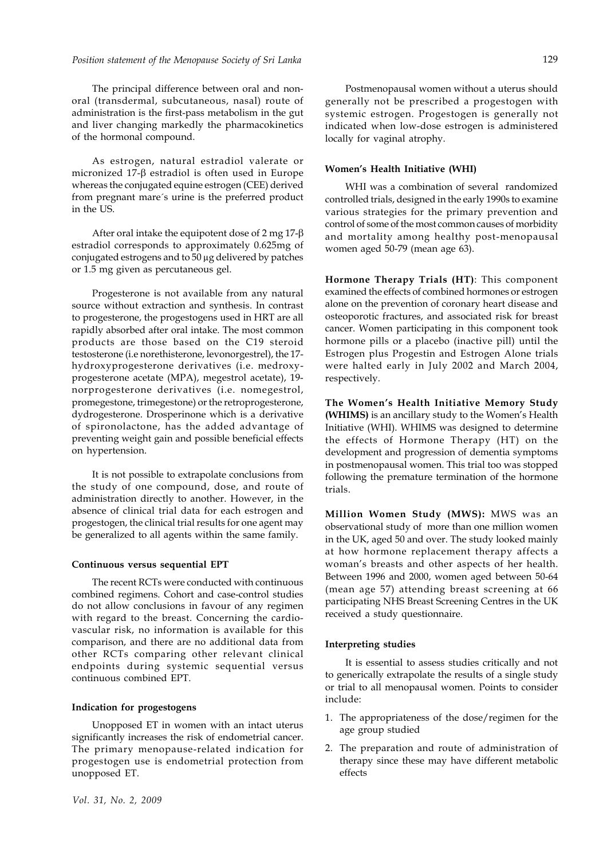The principal difference between oral and nonoral (transdermal, subcutaneous, nasal) route of administration is the first-pass metabolism in the gut and liver changing markedly the pharmacokinetics of the hormonal compound.

As estrogen, natural estradiol valerate or micronized  $17-\beta$  estradiol is often used in Europe whereas the conjugated equine estrogen (CEE) derived from pregnant mare´s urine is the preferred product in the US.

After oral intake the equipotent dose of  $2 \text{ mg } 17-\beta$ estradiol corresponds to approximately 0.625mg of conjugated estrogens and to 50 μg delivered by patches or 1.5 mg given as percutaneous gel.

Progesterone is not available from any natural source without extraction and synthesis. In contrast to progesterone, the progestogens used in HRT are all rapidly absorbed after oral intake. The most common products are those based on the C19 steroid testosterone (i.e norethisterone, levonorgestrel), the 17 hydroxyprogesterone derivatives (i.e. medroxyprogesterone acetate (MPA), megestrol acetate), 19 norprogesterone derivatives (i.e. nomegestrol, promegestone, trimegestone) or the retroprogesterone, dydrogesterone. Drosperinone which is a derivative of spironolactone, has the added advantage of preventing weight gain and possible beneficial effects on hypertension.

It is not possible to extrapolate conclusions from the study of one compound, dose, and route of administration directly to another. However, in the absence of clinical trial data for each estrogen and progestogen, the clinical trial results for one agent may be generalized to all agents within the same family.

#### **Continuous versus sequential EPT**

The recent RCTs were conducted with continuous combined regimens. Cohort and case-control studies do not allow conclusions in favour of any regimen with regard to the breast. Concerning the cardiovascular risk, no information is available for this comparison, and there are no additional data from other RCTs comparing other relevant clinical endpoints during systemic sequential versus continuous combined EPT.

#### **Indication for progestogens**

Unopposed ET in women with an intact uterus significantly increases the risk of endometrial cancer. The primary menopause-related indication for progestogen use is endometrial protection from unopposed ET.

Postmenopausal women without a uterus should

generally not be prescribed a progestogen with systemic estrogen. Progestogen is generally not indicated when low-dose estrogen is administered locally for vaginal atrophy.

#### **Women's Health Initiative (WHI)**

WHI was a combination of several randomized controlled trials, designed in the early 1990s to examine various strategies for the primary prevention and control of some of the most common causes of morbidity and mortality among healthy post-menopausal women aged 50-79 (mean age 63).

**Hormone Therapy Trials (HT)**: This component examined the effects of combined hormones or estrogen alone on the prevention of coronary heart disease and osteoporotic fractures, and associated risk for breast cancer. Women participating in this component took hormone pills or a placebo (inactive pill) until the Estrogen plus Progestin and Estrogen Alone trials were halted early in July 2002 and March 2004, respectively.

**The Women's Health Initiative Memory Study (WHIMS)** is an ancillary study to the Women's Health Initiative (WHI). WHIMS was designed to determine the effects of Hormone Therapy (HT) on the development and progression of dementia symptoms in postmenopausal women. This trial too was stopped following the premature termination of the hormone trials.

**Million Women Study (MWS):** MWS was an observational study of more than one million women in the UK, aged 50 and over. The study looked mainly at how hormone replacement therapy affects a woman's breasts and other aspects of her health. Between 1996 and 2000, women aged between 50-64 (mean age 57) attending breast screening at 66 participating NHS Breast Screening Centres in the UK received a study questionnaire.

#### **Interpreting studies**

It is essential to assess studies critically and not to generically extrapolate the results of a single study or trial to all menopausal women. Points to consider include:

- 1. The appropriateness of the dose/regimen for the age group studied
- 2. The preparation and route of administration of therapy since these may have different metabolic effects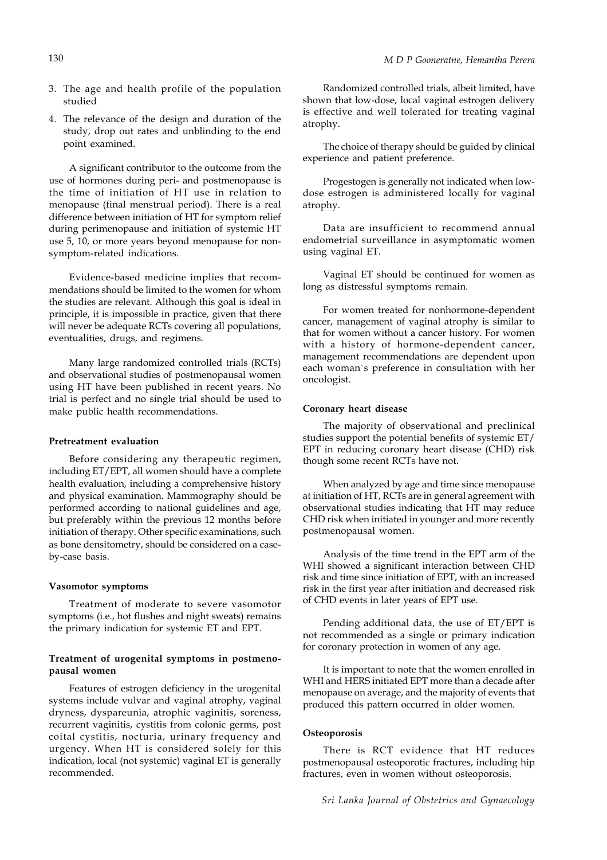- 3. The age and health profile of the population studied
- 4. The relevance of the design and duration of the study, drop out rates and unblinding to the end point examined.

A significant contributor to the outcome from the use of hormones during peri- and postmenopause is the time of initiation of HT use in relation to menopause (final menstrual period). There is a real difference between initiation of HT for symptom relief during perimenopause and initiation of systemic HT use 5, 10, or more years beyond menopause for nonsymptom-related indications.

Evidence-based medicine implies that recommendations should be limited to the women for whom the studies are relevant. Although this goal is ideal in principle, it is impossible in practice, given that there will never be adequate RCTs covering all populations, eventualities, drugs, and regimens.

Many large randomized controlled trials (RCTs) and observational studies of postmenopausal women using HT have been published in recent years. No trial is perfect and no single trial should be used to make public health recommendations.

# **Pretreatment evaluation**

Before considering any therapeutic regimen, including ET/EPT, all women should have a complete health evaluation, including a comprehensive history and physical examination. Mammography should be performed according to national guidelines and age, but preferably within the previous 12 months before initiation of therapy. Other specific examinations, such as bone densitometry, should be considered on a caseby-case basis.

#### **Vasomotor symptoms**

Treatment of moderate to severe vasomotor symptoms (i.e., hot flushes and night sweats) remains the primary indication for systemic ET and EPT.

# **Treatment of urogenital symptoms in postmenopausal women**

Features of estrogen deficiency in the urogenital systems include vulvar and vaginal atrophy, vaginal dryness, dyspareunia, atrophic vaginitis, soreness, recurrent vaginitis, cystitis from colonic germs, post coital cystitis, nocturia, urinary frequency and urgency. When HT is considered solely for this indication, local (not systemic) vaginal ET is generally recommended.

Randomized controlled trials, albeit limited, have shown that low-dose, local vaginal estrogen delivery is effective and well tolerated for treating vaginal atrophy.

The choice of therapy should be guided by clinical experience and patient preference.

Progestogen is generally not indicated when lowdose estrogen is administered locally for vaginal atrophy.

Data are insufficient to recommend annual endometrial surveillance in asymptomatic women using vaginal ET.

Vaginal ET should be continued for women as long as distressful symptoms remain.

For women treated for nonhormone-dependent cancer, management of vaginal atrophy is similar to that for women without a cancer history. For women with a history of hormone-dependent cancer, management recommendations are dependent upon each woman`s preference in consultation with her oncologist.

#### **Coronary heart disease**

The majority of observational and preclinical studies support the potential benefits of systemic ET/ EPT in reducing coronary heart disease (CHD) risk though some recent RCTs have not.

When analyzed by age and time since menopause at initiation of HT, RCTs are in general agreement with observational studies indicating that HT may reduce CHD risk when initiated in younger and more recently postmenopausal women.

Analysis of the time trend in the EPT arm of the WHI showed a significant interaction between CHD risk and time since initiation of EPT, with an increased risk in the first year after initiation and decreased risk of CHD events in later years of EPT use.

Pending additional data, the use of ET/EPT is not recommended as a single or primary indication for coronary protection in women of any age.

It is important to note that the women enrolled in WHI and HERS initiated EPT more than a decade after menopause on average, and the majority of events that produced this pattern occurred in older women.

## **Osteoporosis**

There is RCT evidence that HT reduces postmenopausal osteoporotic fractures, including hip fractures, even in women without osteoporosis.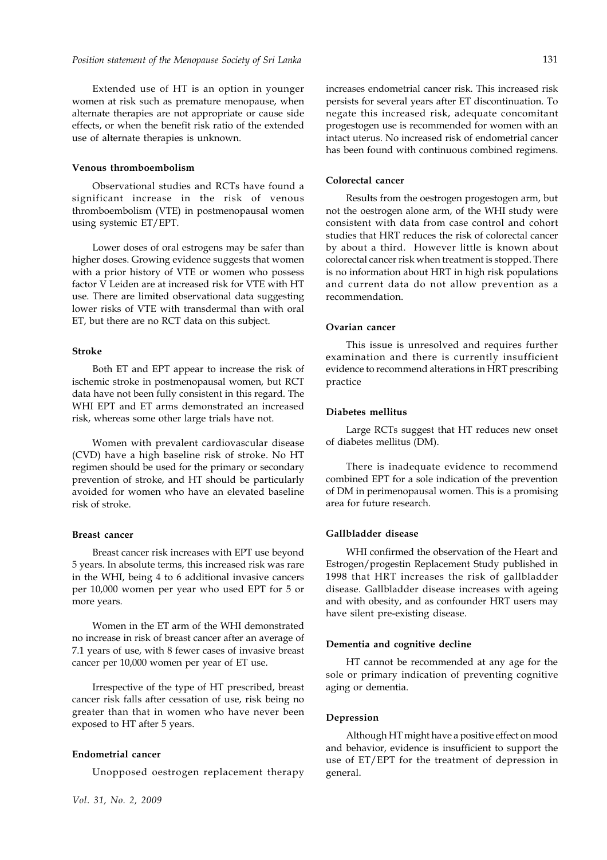Extended use of HT is an option in younger women at risk such as premature menopause, when alternate therapies are not appropriate or cause side effects, or when the benefit risk ratio of the extended use of alternate therapies is unknown.

#### **Venous thromboembolism**

Observational studies and RCTs have found a significant increase in the risk of venous thromboembolism (VTE) in postmenopausal women using systemic ET/EPT.

Lower doses of oral estrogens may be safer than higher doses. Growing evidence suggests that women with a prior history of VTE or women who possess factor V Leiden are at increased risk for VTE with HT use. There are limited observational data suggesting lower risks of VTE with transdermal than with oral ET, but there are no RCT data on this subject.

## **Stroke**

Both ET and EPT appear to increase the risk of ischemic stroke in postmenopausal women, but RCT data have not been fully consistent in this regard. The WHI EPT and ET arms demonstrated an increased risk, whereas some other large trials have not.

Women with prevalent cardiovascular disease (CVD) have a high baseline risk of stroke. No HT regimen should be used for the primary or secondary prevention of stroke, and HT should be particularly avoided for women who have an elevated baseline risk of stroke.

# **Breast cancer**

Breast cancer risk increases with EPT use beyond 5 years. In absolute terms, this increased risk was rare in the WHI, being 4 to 6 additional invasive cancers per 10,000 women per year who used EPT for 5 or more years.

Women in the ET arm of the WHI demonstrated no increase in risk of breast cancer after an average of 7.1 years of use, with 8 fewer cases of invasive breast cancer per 10,000 women per year of ET use.

Irrespective of the type of HT prescribed, breast cancer risk falls after cessation of use, risk being no greater than that in women who have never been exposed to HT after 5 years.

# **Endometrial cancer**

Unopposed oestrogen replacement therapy

*Vol. 31, No. 2, 2009*

increases endometrial cancer risk. This increased risk persists for several years after ET discontinuation. To negate this increased risk, adequate concomitant progestogen use is recommended for women with an intact uterus. No increased risk of endometrial cancer has been found with continuous combined regimens.

#### **Colorectal cancer**

Results from the oestrogen progestogen arm, but not the oestrogen alone arm, of the WHI study were consistent with data from case control and cohort studies that HRT reduces the risk of colorectal cancer by about a third. However little is known about colorectal cancer risk when treatment is stopped. There is no information about HRT in high risk populations and current data do not allow prevention as a recommendation.

## **Ovarian cancer**

This issue is unresolved and requires further examination and there is currently insufficient evidence to recommend alterations in HRT prescribing practice

## **Diabetes mellitus**

Large RCTs suggest that HT reduces new onset of diabetes mellitus (DM).

There is inadequate evidence to recommend combined EPT for a sole indication of the prevention of DM in perimenopausal women. This is a promising area for future research.

### **Gallbladder disease**

WHI confirmed the observation of the Heart and Estrogen/progestin Replacement Study published in 1998 that HRT increases the risk of gallbladder disease. Gallbladder disease increases with ageing and with obesity, and as confounder HRT users may have silent pre-existing disease.

## **Dementia and cognitive decline**

HT cannot be recommended at any age for the sole or primary indication of preventing cognitive aging or dementia.

#### **Depression**

Although HT might have a positive effect on mood and behavior, evidence is insufficient to support the use of ET/EPT for the treatment of depression in general.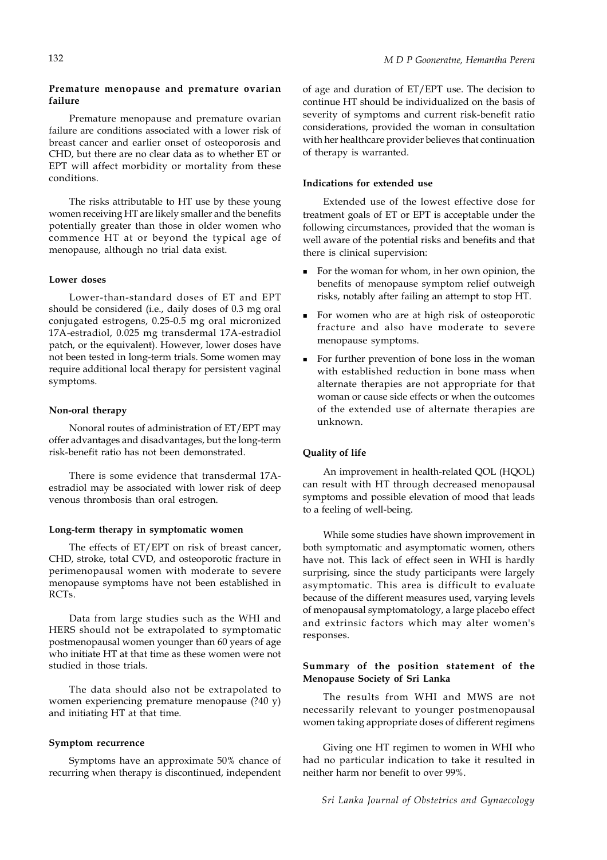## **Premature menopause and premature ovarian failure**

Premature menopause and premature ovarian failure are conditions associated with a lower risk of breast cancer and earlier onset of osteoporosis and CHD, but there are no clear data as to whether ET or EPT will affect morbidity or mortality from these conditions.

The risks attributable to HT use by these young women receiving HT are likely smaller and the benefits potentially greater than those in older women who commence HT at or beyond the typical age of menopause, although no trial data exist.

# **Lower doses**

Lower-than-standard doses of ET and EPT should be considered (i.e., daily doses of 0.3 mg oral conjugated estrogens, 0.25-0.5 mg oral micronized 17A-estradiol, 0.025 mg transdermal 17A-estradiol patch, or the equivalent). However, lower doses have not been tested in long-term trials. Some women may require additional local therapy for persistent vaginal symptoms.

## **Non-oral therapy**

Nonoral routes of administration of ET/EPT may offer advantages and disadvantages, but the long-term risk-benefit ratio has not been demonstrated.

There is some evidence that transdermal 17Aestradiol may be associated with lower risk of deep venous thrombosis than oral estrogen.

## **Long-term therapy in symptomatic women**

The effects of ET/EPT on risk of breast cancer, CHD, stroke, total CVD, and osteoporotic fracture in perimenopausal women with moderate to severe menopause symptoms have not been established in RCTs.

Data from large studies such as the WHI and HERS should not be extrapolated to symptomatic postmenopausal women younger than 60 years of age who initiate HT at that time as these women were not studied in those trials.

The data should also not be extrapolated to women experiencing premature menopause (?40 y) and initiating HT at that time.

## **Symptom recurrence**

Symptoms have an approximate 50% chance of recurring when therapy is discontinued, independent of age and duration of ET/EPT use. The decision to continue HT should be individualized on the basis of severity of symptoms and current risk-benefit ratio considerations, provided the woman in consultation with her healthcare provider believes that continuation of therapy is warranted.

# **Indications for extended use**

Extended use of the lowest effective dose for treatment goals of ET or EPT is acceptable under the following circumstances, provided that the woman is well aware of the potential risks and benefits and that there is clinical supervision:

- For the woman for whom, in her own opinion, the benefits of menopause symptom relief outweigh risks, notably after failing an attempt to stop HT.
- For women who are at high risk of osteoporotic fracture and also have moderate to severe menopause symptoms.
- For further prevention of bone loss in the woman with established reduction in bone mass when alternate therapies are not appropriate for that woman or cause side effects or when the outcomes of the extended use of alternate therapies are unknown.

# **Quality of life**

An improvement in health-related QOL (HQOL) can result with HT through decreased menopausal symptoms and possible elevation of mood that leads to a feeling of well-being.

While some studies have shown improvement in both symptomatic and asymptomatic women, others have not. This lack of effect seen in WHI is hardly surprising, since the study participants were largely asymptomatic. This area is difficult to evaluate because of the different measures used, varying levels of menopausal symptomatology, a large placebo effect and extrinsic factors which may alter women's responses.

# **Summary of the position statement of the Menopause Society of Sri Lanka**

The results from WHI and MWS are not necessarily relevant to younger postmenopausal women taking appropriate doses of different regimens

Giving one HT regimen to women in WHI who had no particular indication to take it resulted in neither harm nor benefit to over 99%.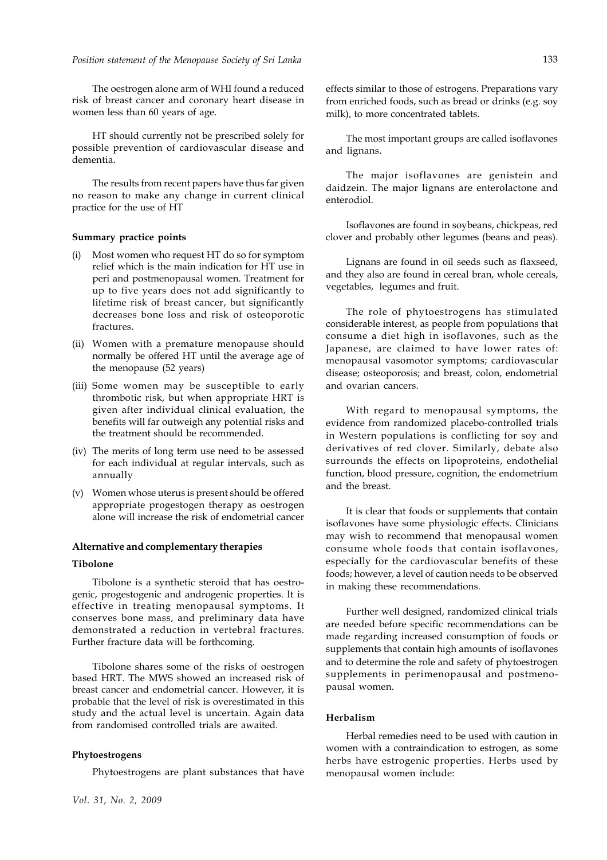The oestrogen alone arm of WHI found a reduced risk of breast cancer and coronary heart disease in women less than 60 years of age.

HT should currently not be prescribed solely for possible prevention of cardiovascular disease and dementia.

The results from recent papers have thus far given no reason to make any change in current clinical practice for the use of HT

## **Summary practice points**

- Most women who request HT do so for symptom relief which is the main indication for HT use in peri and postmenopausal women. Treatment for up to five years does not add significantly to lifetime risk of breast cancer, but significantly decreases bone loss and risk of osteoporotic fractures.
- (ii) Women with a premature menopause should normally be offered HT until the average age of the menopause (52 years)
- (iii) Some women may be susceptible to early thrombotic risk, but when appropriate HRT is given after individual clinical evaluation, the benefits will far outweigh any potential risks and the treatment should be recommended.
- (iv) The merits of long term use need to be assessed for each individual at regular intervals, such as annually
- (v) Women whose uterus is present should be offered appropriate progestogen therapy as oestrogen alone will increase the risk of endometrial cancer

#### **Alternative and complementary therapies**

## **Tibolone**

Tibolone is a synthetic steroid that has oestrogenic, progestogenic and androgenic properties. It is effective in treating menopausal symptoms. It conserves bone mass, and preliminary data have demonstrated a reduction in vertebral fractures. Further fracture data will be forthcoming.

Tibolone shares some of the risks of oestrogen based HRT. The MWS showed an increased risk of breast cancer and endometrial cancer. However, it is probable that the level of risk is overestimated in this study and the actual level is uncertain. Again data from randomised controlled trials are awaited.

#### **Phytoestrogens**

Phytoestrogens are plant substances that have

*Vol. 31, No. 2, 2009*

effects similar to those of estrogens. Preparations vary from enriched foods, such as bread or drinks (e.g. soy milk), to more concentrated tablets.

The most important groups are called isoflavones and lignans.

The major isoflavones are genistein and daidzein. The major lignans are enterolactone and enterodiol.

Isoflavones are found in soybeans, chickpeas, red clover and probably other legumes (beans and peas).

Lignans are found in oil seeds such as flaxseed, and they also are found in cereal bran, whole cereals, vegetables, legumes and fruit.

The role of phytoestrogens has stimulated considerable interest, as people from populations that consume a diet high in isoflavones, such as the Japanese, are claimed to have lower rates of: menopausal vasomotor symptoms; cardiovascular disease; osteoporosis; and breast, colon, endometrial and ovarian cancers.

With regard to menopausal symptoms, the evidence from randomized placebo-controlled trials in Western populations is conflicting for soy and derivatives of red clover. Similarly, debate also surrounds the effects on lipoproteins, endothelial function, blood pressure, cognition, the endometrium and the breast.

It is clear that foods or supplements that contain isoflavones have some physiologic effects. Clinicians may wish to recommend that menopausal women consume whole foods that contain isoflavones, especially for the cardiovascular benefits of these foods; however, a level of caution needs to be observed in making these recommendations.

Further well designed, randomized clinical trials are needed before specific recommendations can be made regarding increased consumption of foods or supplements that contain high amounts of isoflavones and to determine the role and safety of phytoestrogen supplements in perimenopausal and postmenopausal women.

#### **Herbalism**

Herbal remedies need to be used with caution in women with a contraindication to estrogen, as some herbs have estrogenic properties. Herbs used by menopausal women include: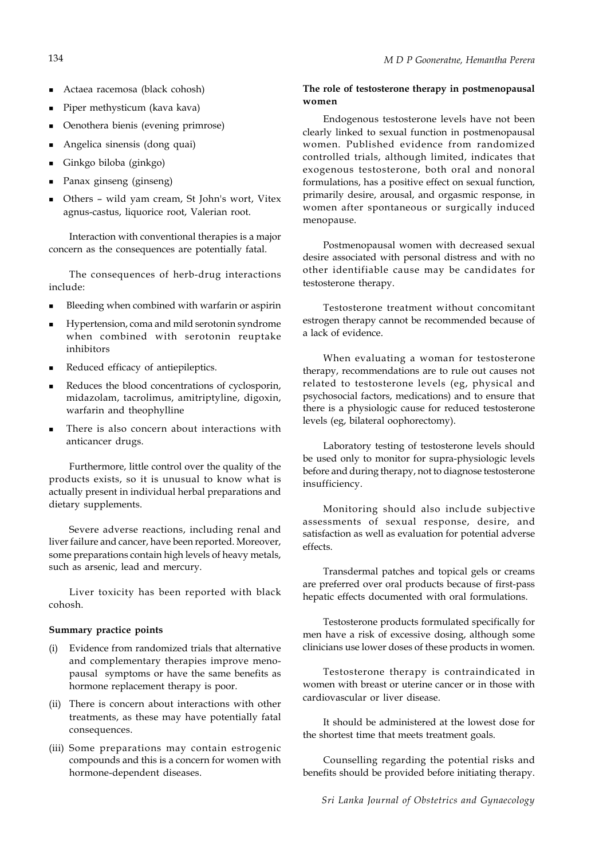- Actaea racemosa (black cohosh)
- Piper methysticum (kava kava)
- Oenothera bienis (evening primrose)
- Angelica sinensis (dong quai)
- Ginkgo biloba (ginkgo)
- Panax ginseng (ginseng)
- Others wild yam cream, St John's wort, Vitex agnus-castus, liquorice root, Valerian root.

Interaction with conventional therapies is a major concern as the consequences are potentially fatal.

The consequences of herb-drug interactions include:

- Bleeding when combined with warfarin or aspirin
- Hypertension, coma and mild serotonin syndrome when combined with serotonin reuptake inhibitors
- Reduced efficacy of antiepileptics.
- Reduces the blood concentrations of cyclosporin, midazolam, tacrolimus, amitriptyline, digoxin, warfarin and theophylline
- There is also concern about interactions with anticancer drugs.

Furthermore, little control over the quality of the products exists, so it is unusual to know what is actually present in individual herbal preparations and dietary supplements.

Severe adverse reactions, including renal and liver failure and cancer, have been reported. Moreover, some preparations contain high levels of heavy metals, such as arsenic, lead and mercury.

Liver toxicity has been reported with black cohosh.

## **Summary practice points**

- (i) Evidence from randomized trials that alternative and complementary therapies improve menopausal symptoms or have the same benefits as hormone replacement therapy is poor.
- (ii) There is concern about interactions with other treatments, as these may have potentially fatal consequences.
- (iii) Some preparations may contain estrogenic compounds and this is a concern for women with hormone-dependent diseases.

## **The role of testosterone therapy in postmenopausal women**

Endogenous testosterone levels have not been clearly linked to sexual function in postmenopausal women. Published evidence from randomized controlled trials, although limited, indicates that exogenous testosterone, both oral and nonoral formulations, has a positive effect on sexual function, primarily desire, arousal, and orgasmic response, in women after spontaneous or surgically induced menopause.

Postmenopausal women with decreased sexual desire associated with personal distress and with no other identifiable cause may be candidates for testosterone therapy.

Testosterone treatment without concomitant estrogen therapy cannot be recommended because of a lack of evidence.

When evaluating a woman for testosterone therapy, recommendations are to rule out causes not related to testosterone levels (eg, physical and psychosocial factors, medications) and to ensure that there is a physiologic cause for reduced testosterone levels (eg, bilateral oophorectomy).

Laboratory testing of testosterone levels should be used only to monitor for supra-physiologic levels before and during therapy, not to diagnose testosterone insufficiency.

Monitoring should also include subjective assessments of sexual response, desire, and satisfaction as well as evaluation for potential adverse effects.

Transdermal patches and topical gels or creams are preferred over oral products because of first-pass hepatic effects documented with oral formulations.

Testosterone products formulated specifically for men have a risk of excessive dosing, although some clinicians use lower doses of these products in women.

Testosterone therapy is contraindicated in women with breast or uterine cancer or in those with cardiovascular or liver disease.

It should be administered at the lowest dose for the shortest time that meets treatment goals.

Counselling regarding the potential risks and benefits should be provided before initiating therapy.

*Sri Lanka Journal of Obstetrics and Gynaecology*